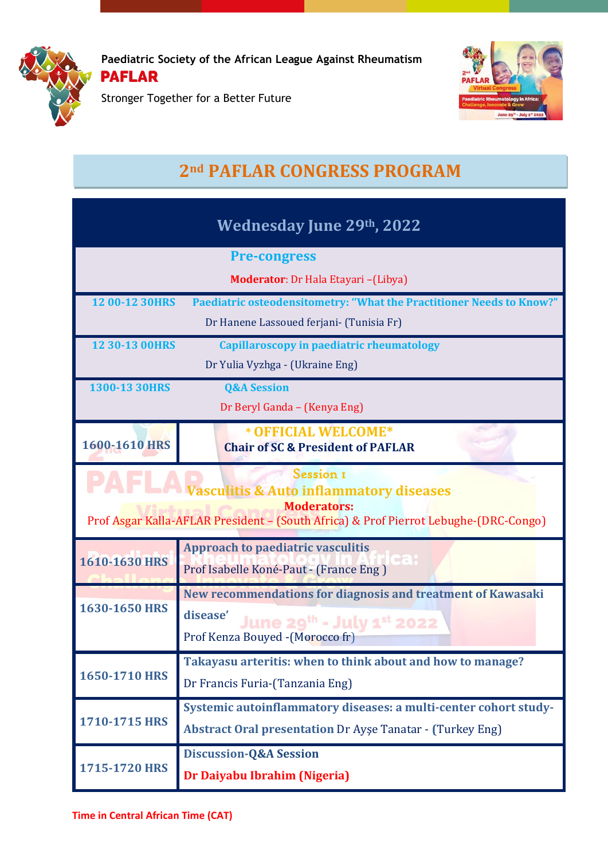

Stronger Together for a Better Future



## **2nd PAFLAR CONGRESS PROGRAM**

| Wednesday June 29th, 2022                                                                                                                                                     |                                                                                                                                          |  |
|-------------------------------------------------------------------------------------------------------------------------------------------------------------------------------|------------------------------------------------------------------------------------------------------------------------------------------|--|
|                                                                                                                                                                               | <b>Pre-congress</b>                                                                                                                      |  |
|                                                                                                                                                                               | <b>Moderator:</b> Dr Hala Etayari - (Libya)                                                                                              |  |
| 12 00-12 30HRS                                                                                                                                                                | Paediatric osteodensitometry: "What the Practitioner Needs to Know?"<br>Dr Hanene Lassoued ferjani- (Tunisia Fr)                         |  |
| 12 30-13 00HRS                                                                                                                                                                | Capillaroscopy in paediatric rheumatology                                                                                                |  |
|                                                                                                                                                                               | Dr Yulia Vyzhga - (Ukraine Eng)                                                                                                          |  |
| 1300-13 30HRS                                                                                                                                                                 | <b>Q&amp;A Session</b>                                                                                                                   |  |
|                                                                                                                                                                               | Dr Beryl Ganda - (Kenya Eng)                                                                                                             |  |
| 1600-1610 HRS                                                                                                                                                                 | * OFFICIAL WELCOME*<br><b>Chair of SC &amp; President of PAFLAR</b>                                                                      |  |
| Session I<br><b>Vasculitis &amp; Auto inflammatory diseases</b><br><b>Moderators:</b><br>Prof Asgar Kalla-AFLAR President - (South Africa) & Prof Pierrot Lebughe-(DRC-Congo) |                                                                                                                                          |  |
| 1610-1630 HRS                                                                                                                                                                 | <b>Approach to paediatric vasculitis</b><br>ca :<br>Prof Isabelle Koné-Paut - (France Eng)                                               |  |
| 1630-1650 HRS                                                                                                                                                                 | New recommendations for diagnosis and treatment of Kawasaki<br>disease'<br>June 29th - July 1st 2022<br>Prof Kenza Bouyed - (Morocco fr) |  |
| 1650-1710 HRS                                                                                                                                                                 | Takayasu arteritis: when to think about and how to manage?<br>Dr Francis Furia-(Tanzania Eng)                                            |  |
| 1710-1715 HRS                                                                                                                                                                 | Systemic autoinflammatory diseases: a multi-center cohort study-<br><b>Abstract Oral presentation Dr Ayse Tanatar - (Turkey Eng)</b>     |  |
| 1715-1720 HRS                                                                                                                                                                 | <b>Discussion-Q&amp;A Session</b><br>Dr Daiyabu Ibrahim (Nigeria)                                                                        |  |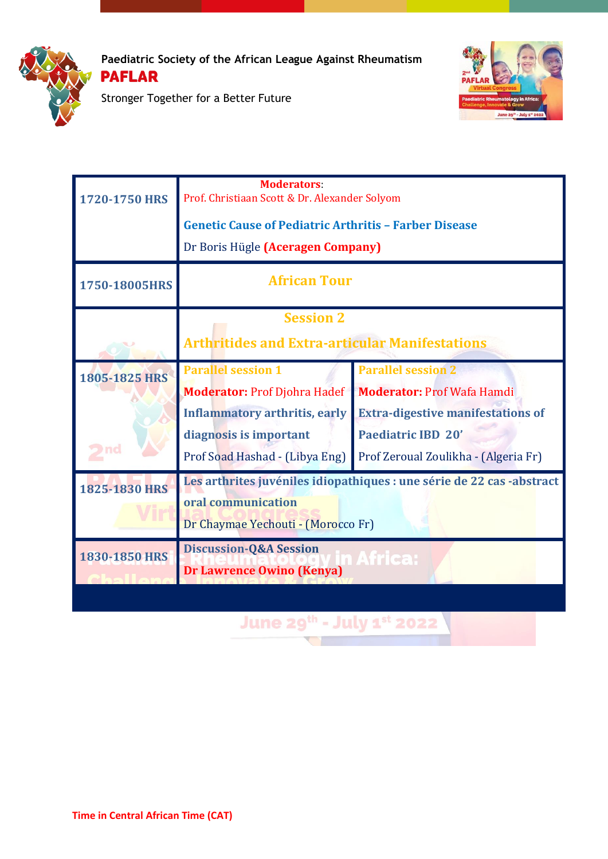



Stronger Together for a Better Future

| 1720-1750 HRS | <b>Moderators:</b><br>Prof. Christiaan Scott & Dr. Alexander Solyom<br><b>Genetic Cause of Pediatric Arthritis - Farber Disease</b><br>Dr Boris Hügle (Aceragen Company) |                                                                                                                                                                                 |
|---------------|--------------------------------------------------------------------------------------------------------------------------------------------------------------------------|---------------------------------------------------------------------------------------------------------------------------------------------------------------------------------|
| 1750-18005HRS | <b>African Tour</b>                                                                                                                                                      |                                                                                                                                                                                 |
|               | <b>Session 2</b><br><b>Arthritides and Extra-articular Manifestations</b>                                                                                                |                                                                                                                                                                                 |
| 1805-1825 HRS | <b>Parallel session 1</b><br><b>Moderator: Prof Djohra Hadef</b><br><b>Inflammatory arthritis, early</b><br>diagnosis is important<br>Prof Soad Hashad - (Libya Eng)     | <b>Parallel session 2</b><br><b>Moderator: Prof Wafa Hamdi</b><br><b>Extra-digestive manifestations of</b><br><b>Paediatric IBD 20'</b><br>Prof Zeroual Zoulikha - (Algeria Fr) |
| 1825-1830 HRS | Les arthrites juvéniles idiopathiques : une série de 22 cas -abstract<br>oral communication<br>Dr Chaymae Yechouti - (Morocco Fr)                                        |                                                                                                                                                                                 |
| 1830-1850 HRS | <b>Discussion-Q&amp;A Session</b><br><b>Dr Lawrence Owino (Kenya)</b><br>June 29 <sup>th</sup> - July 1 <sup>st</sup> 2022                                               | Africa:                                                                                                                                                                         |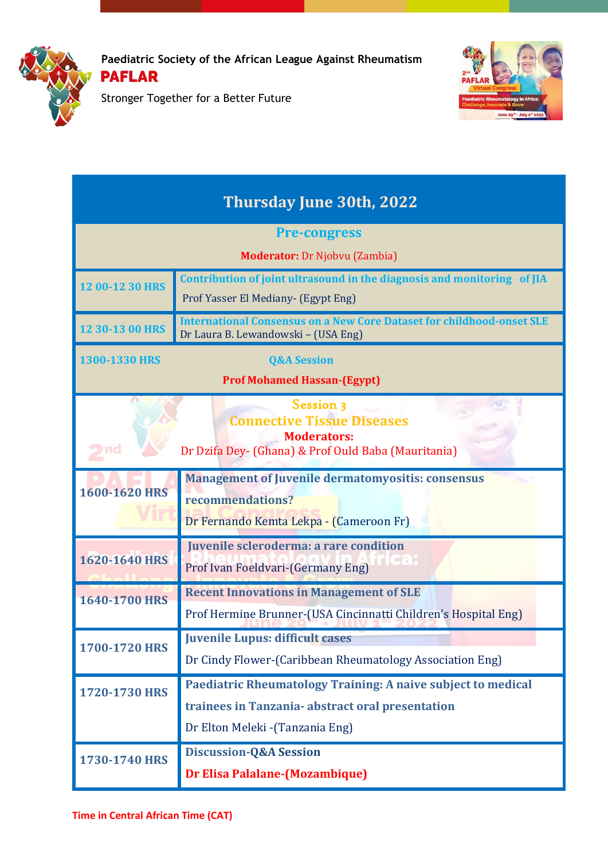

Stronger Together for a Better Future



| <b>Thursday June 30th, 2022</b>                                                                                             |                                                                                                                         |  |
|-----------------------------------------------------------------------------------------------------------------------------|-------------------------------------------------------------------------------------------------------------------------|--|
| <b>Pre-congress</b>                                                                                                         |                                                                                                                         |  |
|                                                                                                                             | <b>Moderator:</b> Dr Njobvu (Zambia)                                                                                    |  |
| 12 00-12 30 HRS                                                                                                             | Contribution of joint ultrasound in the diagnosis and monitoring of JIA<br>Prof Yasser El Mediany- (Egypt Eng)          |  |
| 12 30-13 00 HRS                                                                                                             | <b>International Consensus on a New Core Dataset for childhood-onset SLE</b><br>Dr Laura B. Lewandowski - (USA Eng)     |  |
| 1300-1330 HRS                                                                                                               | <b>Q&amp;A Session</b>                                                                                                  |  |
| <b>Prof Mohamed Hassan-(Egypt)</b>                                                                                          |                                                                                                                         |  |
| Session 3<br><b>Connective Tissue Diseases</b><br><b>Moderators:</b><br>Dr Dzifa Dey- (Ghana) & Prof Ould Baba (Mauritania) |                                                                                                                         |  |
| 1600-1620 HRS                                                                                                               | <b>Management of Juvenile dermatomyositis: consensus</b><br>recommendations?<br>Dr Fernando Kemta Lekpa - (Cameroon Fr) |  |
| 1620-1640 HRS                                                                                                               | Juvenile scleroderma: a rare condition<br>Prof Ivan Foeldvari-(Germany Eng)                                             |  |
| 1640-1700 HRS                                                                                                               | <b>Recent Innovations in Management of SLE</b><br>Prof Hermine Brunner-(USA Cincinnatti Children's Hospital Eng)        |  |
| 1700-1720 HRS                                                                                                               | <b>Juvenile Lupus: difficult cases</b><br>Dr Cindy Flower-(Caribbean Rheumatology Association Eng)                      |  |
| 1720-1730 HRS                                                                                                               | <b>Paediatric Rheumatology Training: A naive subject to medical</b>                                                     |  |
|                                                                                                                             | trainees in Tanzania- abstract oral presentation                                                                        |  |
|                                                                                                                             | Dr Elton Meleki - (Tanzania Eng)                                                                                        |  |
| 1730-1740 HRS                                                                                                               | <b>Discussion-Q&amp;A Session</b>                                                                                       |  |
|                                                                                                                             | <b>Dr Elisa Palalane-(Mozambique)</b>                                                                                   |  |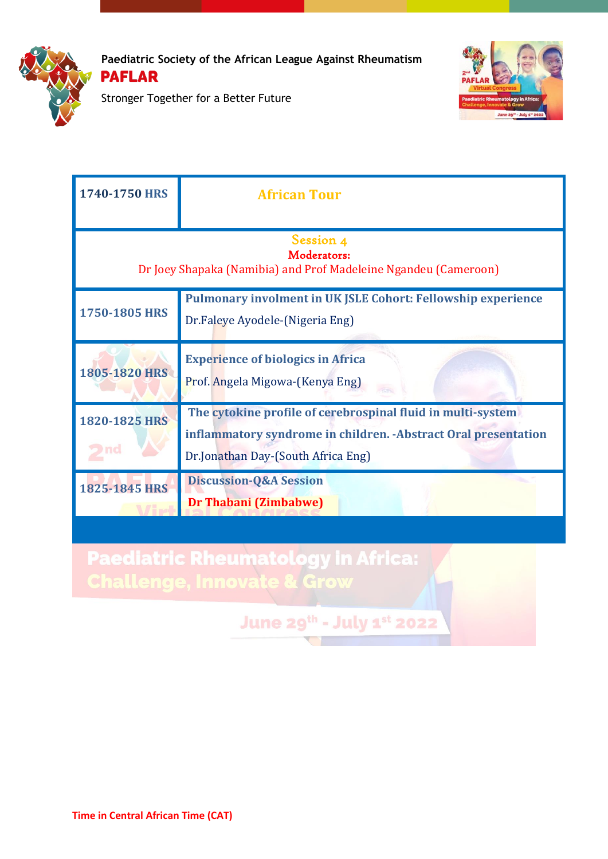



Stronger Together for a Better Future

| 1740-1750 HRS                                                                               | <b>African Tour</b>                                                                                                                                                  |  |
|---------------------------------------------------------------------------------------------|----------------------------------------------------------------------------------------------------------------------------------------------------------------------|--|
| Session 4<br>Moderators:<br>Dr Joey Shapaka (Namibia) and Prof Madeleine Ngandeu (Cameroon) |                                                                                                                                                                      |  |
| 1750-1805 HRS                                                                               | <b>Pulmonary involment in UK JSLE Cohort: Fellowship experience</b><br>Dr.Faleye Ayodele-(Nigeria Eng)                                                               |  |
| 1805-1820 HRS                                                                               | <b>Experience of biologics in Africa</b><br>Prof. Angela Migowa-(Kenya Eng)                                                                                          |  |
| 1820-1825 HRS                                                                               | The cytokine profile of cerebrospinal fluid in multi-system<br>inflammatory syndrome in children. - Abstract Oral presentation<br>Dr.Jonathan Day-(South Africa Eng) |  |
| 1825-1845 HRS                                                                               | <b>Discussion-Q&amp;A Session</b><br><b>Dr Thabani (Zimbabwe)</b>                                                                                                    |  |

**Paediatric Rheumatology in Africa:<br>Challenge, Innovate & Grow** 

**June 29th - July 1st 2022**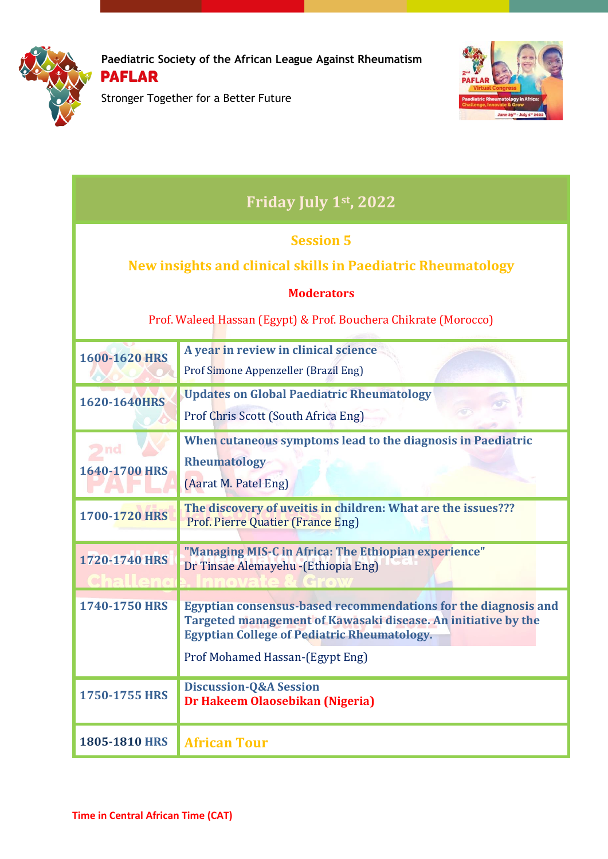

Stronger Together for a Better Future



| Friday July 1st, 2022                                                                                                                                                   |                                                                                                                                                                                                                          |  |
|-------------------------------------------------------------------------------------------------------------------------------------------------------------------------|--------------------------------------------------------------------------------------------------------------------------------------------------------------------------------------------------------------------------|--|
| <b>Session 5</b><br>New insights and clinical skills in Paediatric Rheumatology<br><b>Moderators</b><br>Prof. Waleed Hassan (Egypt) & Prof. Bouchera Chikrate (Morocco) |                                                                                                                                                                                                                          |  |
| 1600-1620 HRS                                                                                                                                                           | A year in review in clinical science<br>Prof Simone Appenzeller (Brazil Eng)                                                                                                                                             |  |
| 1620-1640HRS                                                                                                                                                            | <b>Updates on Global Paediatric Rheumatology</b><br>Prof Chris Scott (South Africa Eng)                                                                                                                                  |  |
| 1640-1700 HRS                                                                                                                                                           | When cutaneous symptoms lead to the diagnosis in Paediatric<br><b>Rheumatology</b><br>(Aarat M. Patel Eng)                                                                                                               |  |
| 1700-1720 HRS                                                                                                                                                           | The discovery of uveitis in children: What are the issues???<br><b>Prof. Pierre Quatier (France Eng)</b>                                                                                                                 |  |
| 1720-1740 HRS                                                                                                                                                           | "Managing MIS-C in Africa: The Ethiopian experience"<br>Dr Tinsae Alemayehu - (Ethiopia Eng)                                                                                                                             |  |
| 1740-1750 HRS                                                                                                                                                           | Egyptian consensus-based recommendations for the diagnosis and<br>Targeted management of Kawasaki disease. An initiative by the<br><b>Egyptian College of Pediatric Rheumatology.</b><br>Prof Mohamed Hassan-(Egypt Eng) |  |
| 1750-1755 HRS                                                                                                                                                           | <b>Discussion-Q&amp;A Session</b><br>Dr Hakeem Olaosebikan (Nigeria)                                                                                                                                                     |  |
| 1805-1810 HRS                                                                                                                                                           | <b>African Tour</b>                                                                                                                                                                                                      |  |